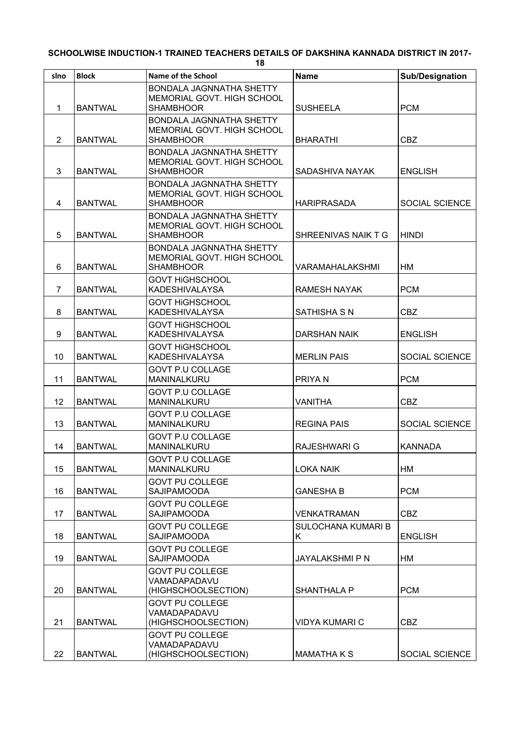| slno           | <b>Block</b>   | Name of the School                              | <b>Name</b>                              | Sub/Designation       |
|----------------|----------------|-------------------------------------------------|------------------------------------------|-----------------------|
|                |                | BONDALA JAGNNATHA SHETTY                        |                                          |                       |
| 1              | <b>BANTWAL</b> | MEMORIAL GOVT. HIGH SCHOOL<br><b>SHAMBHOOR</b>  | <b>SUSHEELA</b>                          | <b>PCM</b>            |
|                |                | BONDALA JAGNNATHA SHETTY                        |                                          |                       |
|                |                | MEMORIAL GOVT. HIGH SCHOOL                      |                                          |                       |
| $\overline{2}$ | <b>BANTWAL</b> | <b>SHAMBHOOR</b>                                | <b>BHARATHI</b>                          | <b>CBZ</b>            |
|                |                | BONDALA JAGNNATHA SHETTY                        |                                          |                       |
| 3              | <b>BANTWAL</b> | MEMORIAL GOVT. HIGH SCHOOL<br><b>SHAMBHOOR</b>  | SADASHIVA NAYAK                          | <b>ENGLISH</b>        |
|                |                | BONDALA JAGNNATHA SHETTY                        |                                          |                       |
|                |                | MEMORIAL GOVT. HIGH SCHOOL                      |                                          |                       |
| 4              | <b>BANTWAL</b> | <b>SHAMBHOOR</b>                                | <b>HARIPRASADA</b>                       | <b>SOCIAL SCIENCE</b> |
|                |                | BONDALA JAGNNATHA SHETTY                        |                                          |                       |
| 5              | <b>BANTWAL</b> | MEMORIAL GOVT. HIGH SCHOOL<br><b>SHAMBHOOR</b>  | SHREENIVAS NAIK T G                      | <b>HINDI</b>          |
|                |                | BONDALA JAGNNATHA SHETTY                        |                                          |                       |
|                |                | MEMORIAL GOVT. HIGH SCHOOL                      |                                          |                       |
| 6              | <b>BANTWAL</b> | <b>SHAMBHOOR</b>                                | VARAMAHALAKSHMI                          | HМ                    |
| $\overline{7}$ | <b>BANTWAL</b> | <b>GOVT HIGHSCHOOL</b><br><b>KADESHIVALAYSA</b> | <b>RAMESH NAYAK</b>                      | <b>PCM</b>            |
|                |                | <b>GOVT HIGHSCHOOL</b>                          |                                          |                       |
| 8              | <b>BANTWAL</b> | <b>KADESHIVALAYSA</b>                           | <b>SATHISHA S N</b>                      | <b>CBZ</b>            |
|                |                | <b>GOVT HIGHSCHOOL</b>                          |                                          |                       |
| 9              | <b>BANTWAL</b> | <b>KADESHIVALAYSA</b>                           | <b>DARSHAN NAIK</b>                      | <b>ENGLISH</b>        |
|                |                | <b>GOVT HIGHSCHOOL</b>                          |                                          |                       |
| 10             | <b>BANTWAL</b> | <b>KADESHIVALAYSA</b>                           | <b>MERLIN PAIS</b>                       | <b>SOCIAL SCIENCE</b> |
| 11             | <b>BANTWAL</b> | <b>GOVT P.U COLLAGE</b><br>MANINALKURU          | PRIYA N                                  | <b>PCM</b>            |
|                |                | <b>GOVT P.U COLLAGE</b>                         |                                          |                       |
| 12             | <b>BANTWAL</b> | MANINALKURU                                     | <b>VANITHA</b>                           | <b>CBZ</b>            |
|                |                | <b>GOVT P.U COLLAGE</b>                         |                                          |                       |
| 13             | <b>BANTWAL</b> | MANINALKURU                                     | <b>REGINA PAIS</b>                       | <b>SOCIAL SCIENCE</b> |
| 14             | <b>BANTWAL</b> | <b>GOVT P.U COLLAGE</b><br>MANINALKURU          | <b>RAJESHWARI G</b>                      | <b>KANNADA</b>        |
|                |                | <b>GOVT P.U COLLAGE</b>                         |                                          |                       |
| 15             | <b>BANTWAL</b> | MANINALKURU                                     | <b>LOKA NAIK</b>                         | НM                    |
|                |                | <b>GOVT PU COLLEGE</b>                          |                                          |                       |
| 16             | <b>BANTWAL</b> | <b>SAJIPAMOODA</b>                              | <b>GANESHA B</b>                         | <b>PCM</b>            |
|                |                | <b>GOVT PU COLLEGE</b>                          |                                          |                       |
| 17             | <b>BANTWAL</b> | <b>SAJIPAMOODA</b><br><b>GOVT PU COLLEGE</b>    | <b>VENKATRAMAN</b><br>SULOCHANA KUMARI B | CBZ                   |
| 18             | <b>BANTWAL</b> | <b>SAJIPAMOODA</b>                              | K.                                       | <b>ENGLISH</b>        |
|                |                | <b>GOVT PU COLLEGE</b>                          |                                          |                       |
| 19             | <b>BANTWAL</b> | <b>SAJIPAMOODA</b>                              | <b>JAYALAKSHMI P N</b>                   | НM                    |
|                |                | <b>GOVT PU COLLEGE</b>                          |                                          |                       |
| 20             | <b>BANTWAL</b> | VAMADAPADAVU<br>(HIGHSCHOOLSECTION)             | <b>SHANTHALA P</b>                       | <b>PCM</b>            |
|                |                | <b>GOVT PU COLLEGE</b>                          |                                          |                       |
|                |                | VAMADAPADAVU                                    |                                          |                       |
| 21             | <b>BANTWAL</b> | (HIGHSCHOOLSECTION)                             | <b>VIDYA KUMARI C</b>                    | <b>CBZ</b>            |
|                |                | <b>GOVT PU COLLEGE</b><br>VAMADAPADAVU          |                                          |                       |
| 22             | <b>BANTWAL</b> | (HIGHSCHOOLSECTION)                             | MAMATHA K S                              | SOCIAL SCIENCE        |
|                |                |                                                 |                                          |                       |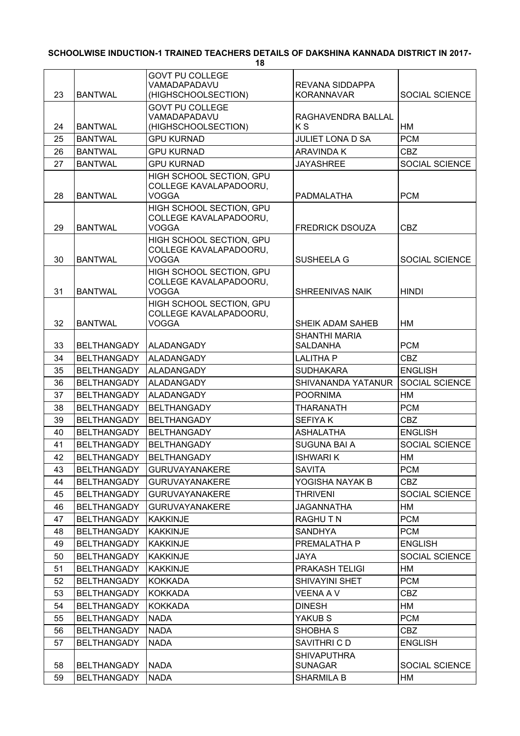| 23       | <b>BANTWAL</b>                           | <b>GOVT PU COLLEGE</b><br>VAMADAPADAVU<br>(HIGHSCHOOLSECTION)      | <b>REVANA SIDDAPPA</b><br><b>KORANNAVAR</b> | SOCIAL SCIENCE        |
|----------|------------------------------------------|--------------------------------------------------------------------|---------------------------------------------|-----------------------|
|          |                                          | <b>GOVT PU COLLEGE</b>                                             |                                             |                       |
|          |                                          | VAMADAPADAVU                                                       | RAGHAVENDRA BALLAL                          |                       |
| 24       | <b>BANTWAL</b>                           | (HIGHSCHOOLSECTION)                                                | ΚS                                          | НM                    |
| 25       | <b>BANTWAL</b>                           | <b>GPU KURNAD</b>                                                  | <b>JULIET LONA D SA</b>                     | <b>PCM</b>            |
| 26       | <b>BANTWAL</b>                           | <b>GPU KURNAD</b>                                                  | <b>ARAVINDA K</b>                           | <b>CBZ</b>            |
| 27       | <b>BANTWAL</b>                           | <b>GPU KURNAD</b>                                                  | <b>JAYASHREE</b>                            | <b>SOCIAL SCIENCE</b> |
| 28       | <b>BANTWAL</b>                           | HIGH SCHOOL SECTION, GPU<br>COLLEGE KAVALAPADOORU,<br>VOGGA        | PADMALATHA                                  | <b>PCM</b>            |
| 29       | <b>BANTWAL</b>                           | HIGH SCHOOL SECTION, GPU<br>COLLEGE KAVALAPADOORU,<br><b>VOGGA</b> | <b>FREDRICK DSOUZA</b>                      | <b>CBZ</b>            |
|          |                                          | HIGH SCHOOL SECTION, GPU                                           |                                             |                       |
| 30       | <b>BANTWAL</b>                           | COLLEGE KAVALAPADOORU,<br><b>VOGGA</b>                             | <b>SUSHEELA G</b>                           | <b>SOCIAL SCIENCE</b> |
| 31       | <b>BANTWAL</b>                           | HIGH SCHOOL SECTION, GPU<br>COLLEGE KAVALAPADOORU,<br><b>VOGGA</b> | <b>SHREENIVAS NAIK</b>                      | <b>HINDI</b>          |
|          |                                          | HIGH SCHOOL SECTION, GPU                                           |                                             |                       |
| 32       | <b>BANTWAL</b>                           | COLLEGE KAVALAPADOORU,<br><b>VOGGA</b>                             | SHEIK ADAM SAHEB                            | HM                    |
| 33       | <b>BELTHANGADY</b>                       | ALADANGADY                                                         | <b>SHANTHI MARIA</b><br><b>SALDANHA</b>     | <b>PCM</b>            |
| 34       | <b>BELTHANGADY</b>                       | <b>ALADANGADY</b>                                                  | <b>LALITHA P</b>                            | <b>CBZ</b>            |
| 35       | <b>BELTHANGADY</b>                       | <b>ALADANGADY</b>                                                  | <b>SUDHAKARA</b>                            | <b>ENGLISH</b>        |
| 36       | <b>BELTHANGADY</b>                       | ALADANGADY                                                         | SHIVANANDA YATANUR                          | SOCIAL SCIENCE        |
| 37       | <b>BELTHANGADY</b>                       | <b>ALADANGADY</b>                                                  | <b>POORNIMA</b>                             | HM                    |
| 38       | <b>BELTHANGADY</b>                       | <b>BELTHANGADY</b>                                                 | <b>THARANATH</b>                            | <b>PCM</b>            |
| 39       | <b>BELTHANGADY</b>                       | <b>BELTHANGADY</b>                                                 | <b>SEFIYAK</b>                              | <b>CBZ</b>            |
| 40       | <b>BELTHANGADY</b>                       | <b>BELTHANGADY</b>                                                 | <b>ASHALATHA</b>                            | <b>ENGLISH</b>        |
| 41       | <b>BELTHANGADY</b>                       | <b>BELTHANGADY</b>                                                 | <b>SUGUNA BAI A</b>                         | SOCIAL SCIENCE        |
| 42       | <b>BELTHANGADY</b>                       | <b>BELTHANGADY</b>                                                 | <b>ISHWARIK</b>                             | HM                    |
| 43       | BELTHANGADY                              | <b>GURUVAYANAKERE</b>                                              | <b>SAVITA</b>                               | <b>PCM</b>            |
| 44       | <b>BELTHANGADY</b>                       | <b>GURUVAYANAKERE</b>                                              | YOGISHA NAYAK B                             | <b>CBZ</b>            |
| 45       | <b>BELTHANGADY</b>                       | <b>GURUVAYANAKERE</b>                                              | <b>THRIVENI</b>                             | <b>SOCIAL SCIENCE</b> |
| 46       | <b>BELTHANGADY</b>                       | <b>GURUVAYANAKERE</b>                                              | <b>JAGANNATHA</b>                           | HM                    |
| 47       | <b>BELTHANGADY</b>                       | <b>KAKKINJE</b>                                                    | RAGHU T N                                   | <b>PCM</b>            |
| 48       | <b>BELTHANGADY</b>                       | <b>KAKKINJE</b>                                                    | <b>SANDHYA</b>                              | <b>PCM</b>            |
| 49       | <b>BELTHANGADY</b>                       | <b>KAKKINJE</b>                                                    | PREMALATHA P                                | <b>ENGLISH</b>        |
| 50       | <b>BELTHANGADY</b>                       | <b>KAKKINJE</b>                                                    | JAYA                                        | <b>SOCIAL SCIENCE</b> |
| 51       | <b>BELTHANGADY</b>                       | <b>KAKKINJE</b>                                                    | PRAKASH TELIGI                              | НM                    |
| 52       | <b>BELTHANGADY</b>                       | <b>KOKKADA</b>                                                     | SHIVAYINI SHET                              | <b>PCM</b>            |
| 53<br>54 | <b>BELTHANGADY</b><br><b>BELTHANGADY</b> | <b>KOKKADA</b><br><b>KOKKADA</b>                                   | VEENA A V<br><b>DINESH</b>                  | <b>CBZ</b><br>HM      |
| 55       | <b>BELTHANGADY</b>                       | <b>NADA</b>                                                        | YAKUB S                                     | <b>PCM</b>            |
| 56       | <b>BELTHANGADY</b>                       | <b>NADA</b>                                                        | SHOBHA <sub>S</sub>                         | <b>CBZ</b>            |
| 57       | <b>BELTHANGADY</b>                       | <b>NADA</b>                                                        | SAVITHRI C D                                | <b>ENGLISH</b>        |
|          |                                          |                                                                    | <b>SHIVAPUTHRA</b>                          |                       |
| 58       | <b>BELTHANGADY</b>                       | <b>NADA</b>                                                        | <b>SUNAGAR</b>                              | SOCIAL SCIENCE        |
| 59       | <b>BELTHANGADY</b>                       | <b>NADA</b>                                                        | <b>SHARMILA B</b>                           | HM                    |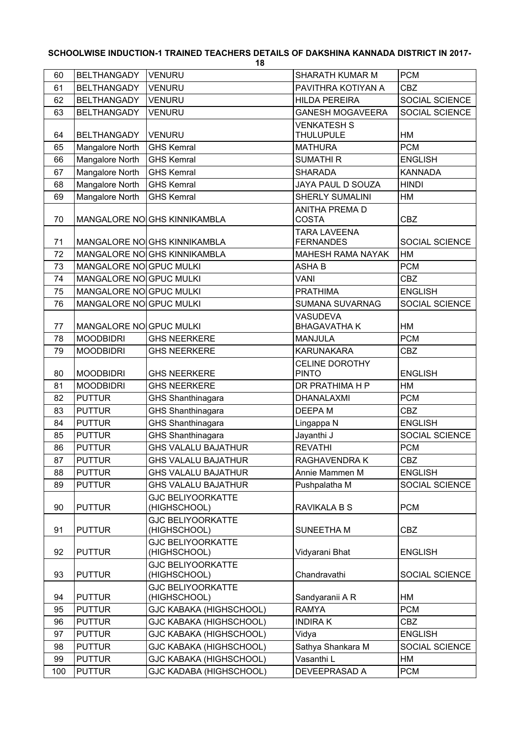| 60  | BELTHANGADY             | <b>VENURU</b>                            | SHARATH KUMAR M                         | <b>PCM</b>     |
|-----|-------------------------|------------------------------------------|-----------------------------------------|----------------|
| 61  | <b>BELTHANGADY</b>      | <b>VENURU</b>                            | PAVITHRA KOTIYAN A                      | <b>CBZ</b>     |
| 62  | <b>BELTHANGADY</b>      | <b>VENURU</b>                            | <b>HILDA PEREIRA</b>                    | SOCIAL SCIENCE |
| 63  | <b>BELTHANGADY</b>      | <b>VENURU</b>                            | <b>GANESH MOGAVEERA</b>                 | SOCIAL SCIENCE |
| 64  | <b>BELTHANGADY</b>      | <b>VENURU</b>                            | <b>VENKATESH S</b><br><b>THULUPULE</b>  | HM             |
| 65  | Mangalore North         | <b>GHS Kemral</b>                        | <b>MATHURA</b>                          | <b>PCM</b>     |
| 66  | Mangalore North         | <b>GHS Kemral</b>                        | <b>SUMATHIR</b>                         | <b>ENGLISH</b> |
| 67  | Mangalore North         | <b>GHS Kemral</b>                        | <b>SHARADA</b>                          | <b>KANNADA</b> |
| 68  | Mangalore North         | <b>GHS Kemral</b>                        | JAYA PAUL D SOUZA                       | <b>HINDI</b>   |
| 69  | Mangalore North         | <b>GHS Kemral</b>                        | SHERLY SUMALINI                         | НM             |
| 70  |                         | MANGALORE NOIGHS KINNIKAMBLA             | <b>ANITHA PREMA D</b><br><b>COSTA</b>   | <b>CBZ</b>     |
| 71  |                         | MANGALORE NOIGHS KINNIKAMBLA             | <b>TARA LAVEENA</b><br><b>FERNANDES</b> | SOCIAL SCIENCE |
| 72  |                         | MANGALORE NO GHS KINNIKAMBLA             | <b>MAHESH RAMA NAYAK</b>                | HM             |
| 73  | MANGALORE NO GPUC MULKI |                                          | <b>ASHAB</b>                            | <b>PCM</b>     |
| 74  | MANGALORE NO GPUC MULKI |                                          | <b>VANI</b>                             | <b>CBZ</b>     |
| 75  | MANGALORE NO GPUC MULKI |                                          | <b>PRATHIMA</b>                         | <b>ENGLISH</b> |
| 76  | MANGALORE NO GPUC MULKI |                                          | <b>SUMANA SUVARNAG</b>                  | SOCIAL SCIENCE |
| 77  | MANGALORE NO GPUC MULKI |                                          | <b>VASUDEVA</b><br><b>BHAGAVATHAK</b>   | HM             |
| 78  | <b>MOODBIDRI</b>        | <b>GHS NEERKERE</b>                      | <b>MANJULA</b>                          | <b>PCM</b>     |
| 79  | <b>MOODBIDRI</b>        | <b>GHS NEERKERE</b>                      | <b>KARUNAKARA</b>                       | <b>CBZ</b>     |
|     |                         |                                          | <b>CELINE DOROTHY</b>                   |                |
| 80  | <b>MOODBIDRI</b>        | <b>GHS NEERKERE</b>                      | <b>PINTO</b>                            | <b>ENGLISH</b> |
| 81  | <b>MOODBIDRI</b>        | <b>GHS NEERKERE</b>                      | DR PRATHIMA H P                         | HM             |
| 82  | <b>PUTTUR</b>           | GHS Shanthinagara                        | <b>DHANALAXMI</b>                       | <b>PCM</b>     |
| 83  | <b>PUTTUR</b>           | GHS Shanthinagara                        | <b>DEEPAM</b>                           | <b>CBZ</b>     |
| 84  | <b>PUTTUR</b>           | GHS Shanthinagara                        | Lingappa N                              | <b>ENGLISH</b> |
| 85  | <b>PUTTUR</b>           | GHS Shanthinagara                        | Jayanthi J                              | SOCIAL SCIENCE |
| 86  | <b>PUTTUR</b>           | <b>GHS VALALU BAJATHUR</b>               | <b>REVATHI</b>                          | <b>PCM</b>     |
| 87  | <b>PUTTUR</b>           | <b>GHS VALALU BAJATHUR</b>               | RAGHAVENDRA K                           | CBZ            |
| 88  | <b>PUTTUR</b>           | <b>GHS VALALU BAJATHUR</b>               | Annie Mammen M                          | <b>ENGLISH</b> |
| 89  | <b>PUTTUR</b>           | <b>GHS VALALU BAJATHUR</b>               | Pushpalatha M                           | SOCIAL SCIENCE |
| 90  | <b>PUTTUR</b>           | <b>GJC BELIYOORKATTE</b><br>(HIGHSCHOOL) | <b>RAVIKALA B S</b>                     | <b>PCM</b>     |
|     |                         | <b>GJC BELIYOORKATTE</b>                 |                                         |                |
| 91  | <b>PUTTUR</b>           | (HIGHSCHOOL)                             | SUNEETHA M                              | <b>CBZ</b>     |
| 92  | <b>PUTTUR</b>           | <b>GJC BELIYOORKATTE</b><br>(HIGHSCHOOL) | Vidyarani Bhat                          | <b>ENGLISH</b> |
| 93  | <b>PUTTUR</b>           | <b>GJC BELIYOORKATTE</b><br>(HIGHSCHOOL) | Chandravathi                            | SOCIAL SCIENCE |
| 94  | <b>PUTTUR</b>           | <b>GJC BELIYOORKATTE</b><br>(HIGHSCHOOL) | Sandyaranii A R                         | HM             |
| 95  | <b>PUTTUR</b>           | <b>GJC KABAKA (HIGHSCHOOL)</b>           | <b>RAMYA</b>                            | <b>PCM</b>     |
| 96  | <b>PUTTUR</b>           | <b>GJC KABAKA (HIGHSCHOOL)</b>           | <b>INDIRAK</b>                          | CBZ            |
| 97  | <b>PUTTUR</b>           | <b>GJC KABAKA (HIGHSCHOOL)</b>           | Vidya                                   | <b>ENGLISH</b> |
| 98  | <b>PUTTUR</b>           | <b>GJC KABAKA (HIGHSCHOOL)</b>           | Sathya Shankara M                       | SOCIAL SCIENCE |
| 99  | <b>PUTTUR</b>           | <b>GJC KABAKA (HIGHSCHOOL)</b>           | Vasanthi L                              | HM             |
| 100 | <b>PUTTUR</b>           | <b>GJC KADABA (HIGHSCHOOL)</b>           | DEVEEPRASAD A                           | <b>PCM</b>     |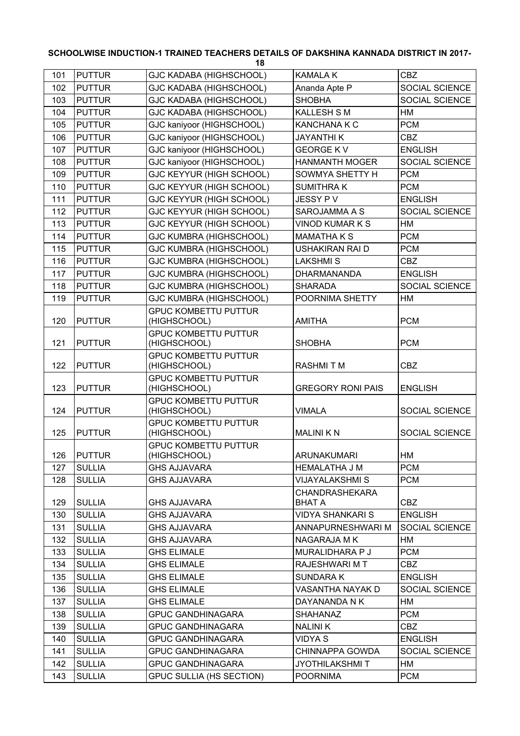| 101 | <b>PUTTUR</b> | <b>GJC KADABA (HIGHSCHOOL)</b>              | <b>KAMALAK</b>                  | <b>CBZ</b>     |
|-----|---------------|---------------------------------------------|---------------------------------|----------------|
| 102 | <b>PUTTUR</b> | GJC KADABA (HIGHSCHOOL)                     | Ananda Apte P                   | SOCIAL SCIENCE |
| 103 | <b>PUTTUR</b> | <b>GJC KADABA (HIGHSCHOOL)</b>              | <b>SHOBHA</b>                   | SOCIAL SCIENCE |
| 104 | <b>PUTTUR</b> | <b>GJC KADABA (HIGHSCHOOL)</b>              | <b>KALLESH S M</b>              | НM             |
| 105 | <b>PUTTUR</b> | GJC kaniyoor (HIGHSCHOOL)                   | <b>KANCHANA K C</b>             | <b>PCM</b>     |
| 106 | <b>PUTTUR</b> | GJC kaniyoor (HIGHSCHOOL)                   | <b>JAYANTHIK</b>                | <b>CBZ</b>     |
| 107 | <b>PUTTUR</b> | GJC kaniyoor (HIGHSCHOOL)                   | <b>GEORGE KV</b>                | <b>ENGLISH</b> |
| 108 | <b>PUTTUR</b> | GJC kaniyoor (HIGHSCHOOL)                   | <b>HANMANTH MOGER</b>           | SOCIAL SCIENCE |
| 109 | <b>PUTTUR</b> | GJC KEYYUR (HIGH SCHOOL)                    | SOWMYA SHETTY H                 | <b>PCM</b>     |
| 110 | <b>PUTTUR</b> | GJC KEYYUR (HIGH SCHOOL)                    | <b>SUMITHRAK</b>                | <b>PCM</b>     |
| 111 | <b>PUTTUR</b> | GJC KEYYUR (HIGH SCHOOL)                    | JESSY PV                        | <b>ENGLISH</b> |
| 112 | <b>PUTTUR</b> | GJC KEYYUR (HIGH SCHOOL)                    | SAROJAMMA A S                   | SOCIAL SCIENCE |
| 113 | <b>PUTTUR</b> | GJC KEYYUR (HIGH SCHOOL)                    | <b>VINOD KUMAR K S</b>          | HM             |
| 114 | <b>PUTTUR</b> | <b>GJC KUMBRA (HIGHSCHOOL)</b>              | <b>MAMATHAKS</b>                | <b>PCM</b>     |
| 115 | <b>PUTTUR</b> | <b>GJC KUMBRA (HIGHSCHOOL)</b>              | <b>USHAKIRAN RAI D</b>          | <b>PCM</b>     |
| 116 | <b>PUTTUR</b> | <b>GJC KUMBRA (HIGHSCHOOL)</b>              | <b>LAKSHMIS</b>                 | <b>CBZ</b>     |
| 117 | <b>PUTTUR</b> | <b>GJC KUMBRA (HIGHSCHOOL)</b>              | <b>DHARMANANDA</b>              | <b>ENGLISH</b> |
| 118 | <b>PUTTUR</b> | GJC KUMBRA (HIGHSCHOOL)                     | <b>SHARADA</b>                  | SOCIAL SCIENCE |
| 119 | <b>PUTTUR</b> | <b>GJC KUMBRA (HIGHSCHOOL)</b>              | POORNIMA SHETTY                 | НM             |
| 120 | <b>PUTTUR</b> | <b>GPUC KOMBETTU PUTTUR</b><br>(HIGHSCHOOL) | <b>AMITHA</b>                   | <b>PCM</b>     |
| 121 | <b>PUTTUR</b> | <b>GPUC KOMBETTU PUTTUR</b><br>(HIGHSCHOOL) | <b>SHOBHA</b>                   | <b>PCM</b>     |
| 122 | <b>PUTTUR</b> | <b>GPUC KOMBETTU PUTTUR</b><br>(HIGHSCHOOL) | <b>RASHMITM</b>                 | <b>CBZ</b>     |
| 123 | <b>PUTTUR</b> | <b>GPUC KOMBETTU PUTTUR</b><br>(HIGHSCHOOL) | <b>GREGORY RONI PAIS</b>        | <b>ENGLISH</b> |
| 124 | <b>PUTTUR</b> | <b>GPUC KOMBETTU PUTTUR</b><br>(HIGHSCHOOL) | <b>VIMALA</b>                   | SOCIAL SCIENCE |
| 125 | <b>PUTTUR</b> | <b>GPUC KOMBETTU PUTTUR</b><br>(HIGHSCHOOL) | <b>MALINIKN</b>                 | SOCIAL SCIENCE |
| 126 | <b>PUTTUR</b> | <b>GPUC KOMBETTU PUTTUR</b><br>(HIGHSCHOOL) | ARUNAKUMARI                     | НM             |
| 127 | <b>SULLIA</b> | <b>GHS AJJAVARA</b>                         | <b>HEMALATHA J M</b>            | <b>PCM</b>     |
| 128 | <b>SULLIA</b> | <b>GHS AJJAVARA</b>                         | <b>VIJAYALAKSHMI S</b>          | <b>PCM</b>     |
| 129 | <b>SULLIA</b> | <b>GHS AJJAVARA</b>                         | <b>CHANDRASHEKARA</b><br>BHAT A | <b>CBZ</b>     |
| 130 | <b>SULLIA</b> | <b>GHS AJJAVARA</b>                         | <b>VIDYA SHANKARI S</b>         | <b>ENGLISH</b> |
| 131 | <b>SULLIA</b> | <b>GHS AJJAVARA</b>                         | ANNAPURNESHWARI M               | SOCIAL SCIENCE |
| 132 | <b>SULLIA</b> | <b>GHS AJJAVARA</b>                         | NAGARAJA M K                    | HM             |
| 133 | <b>SULLIA</b> | <b>GHS ELIMALE</b>                          | MURALIDHARA P J                 | <b>PCM</b>     |
| 134 | <b>SULLIA</b> | <b>GHS ELIMALE</b>                          | RAJESHWARI M T                  | CBZ            |
| 135 | <b>SULLIA</b> | <b>GHS ELIMALE</b>                          | <b>SUNDARAK</b>                 | <b>ENGLISH</b> |
| 136 | <b>SULLIA</b> | <b>GHS ELIMALE</b>                          | VASANTHA NAYAK D                | SOCIAL SCIENCE |
| 137 | <b>SULLIA</b> | <b>GHS ELIMALE</b>                          | DAYANANDA N K                   | HM             |
| 138 | <b>SULLIA</b> | <b>GPUC GANDHINAGARA</b>                    | <b>SHAHANAZ</b>                 | <b>PCM</b>     |
| 139 | <b>SULLIA</b> | <b>GPUC GANDHINAGARA</b>                    | <b>NALINIK</b>                  | CBZ            |
| 140 | <b>SULLIA</b> | <b>GPUC GANDHINAGARA</b>                    | VIDYA S                         | <b>ENGLISH</b> |
| 141 | <b>SULLIA</b> | <b>GPUC GANDHINAGARA</b>                    | CHINNAPPA GOWDA                 | SOCIAL SCIENCE |
| 142 | <b>SULLIA</b> | <b>GPUC GANDHINAGARA</b>                    | JYOTHILAKSHMI T                 | HM             |
| 143 | <b>SULLIA</b> | <b>GPUC SULLIA (HS SECTION)</b>             | <b>POORNIMA</b>                 | <b>PCM</b>     |